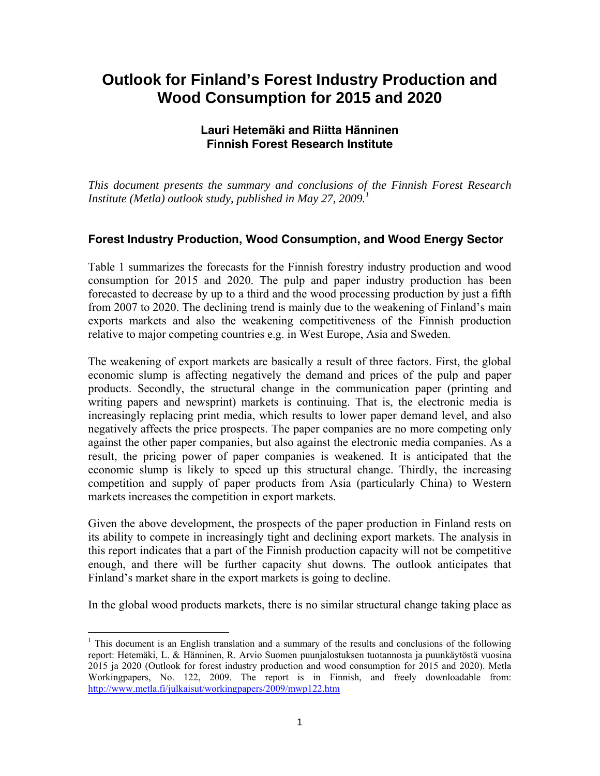# **Outlook for Finland's Forest Industry Production and Wood Consumption for 2015 and 2020**

## **Lauri Hetemäki and Riitta Hänninen Finnish Forest Research Institute**

*This document presents the summary and conclusions of the Finnish Forest Research Institute (Metla) outlook study, published in May 27, 2009.<sup>1</sup>*

## **Forest Industry Production, Wood Consumption, and Wood Energy Sector**

Table 1 summarizes the forecasts for the Finnish forestry industry production and wood consumption for 2015 and 2020. The pulp and paper industry production has been forecasted to decrease by up to a third and the wood processing production by just a fifth from 2007 to 2020. The declining trend is mainly due to the weakening of Finland's main exports markets and also the weakening competitiveness of the Finnish production relative to major competing countries e.g. in West Europe, Asia and Sweden.

The weakening of export markets are basically a result of three factors. First, the global economic slump is affecting negatively the demand and prices of the pulp and paper products. Secondly, the structural change in the communication paper (printing and writing papers and newsprint) markets is continuing. That is, the electronic media is increasingly replacing print media, which results to lower paper demand level, and also negatively affects the price prospects. The paper companies are no more competing only against the other paper companies, but also against the electronic media companies. As a result, the pricing power of paper companies is weakened. It is anticipated that the economic slump is likely to speed up this structural change. Thirdly, the increasing competition and supply of paper products from Asia (particularly China) to Western markets increases the competition in export markets.

Given the above development, the prospects of the paper production in Finland rests on its ability to compete in increasingly tight and declining export markets. The analysis in this report indicates that a part of the Finnish production capacity will not be competitive enough, and there will be further capacity shut downs. The outlook anticipates that Finland's market share in the export markets is going to decline.

In the global wood products markets, there is no similar structural change taking place as

 $\overline{a}$ <sup>1</sup> This document is an English translation and a summary of the results and conclusions of the following report: Hetemäki, L. & Hänninen, R. Arvio Suomen puunjalostuksen tuotannosta ja puunkäytöstä vuosina 2015 ja 2020 (Outlook for forest industry production and wood consumption for 2015 and 2020). Metla Workingpapers, No. 122, 2009. The report is in Finnish, and freely downloadable from: http://www.metla.fi/julkaisut/workingpapers/2009/mwp122.htm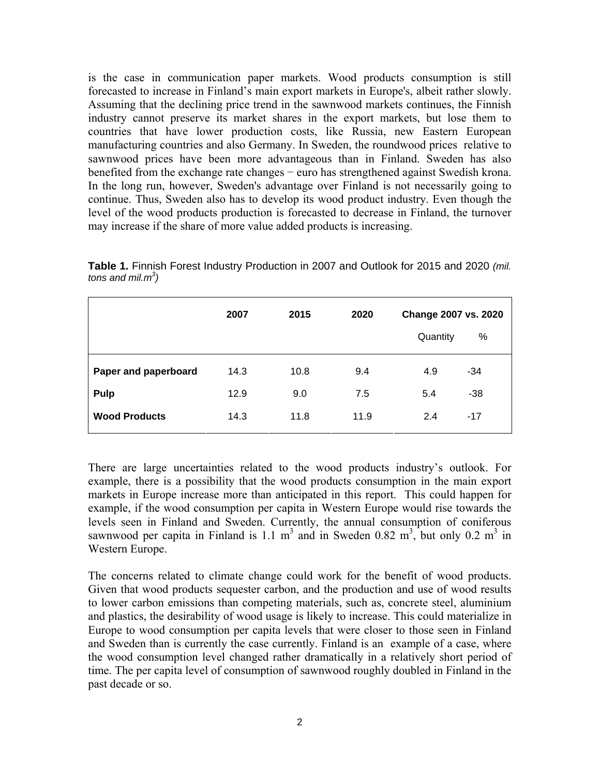is the case in communication paper markets. Wood products consumption is still forecasted to increase in Finland's main export markets in Europe's, albeit rather slowly. Assuming that the declining price trend in the sawnwood markets continues, the Finnish industry cannot preserve its market shares in the export markets, but lose them to countries that have lower production costs, like Russia, new Eastern European manufacturing countries and also Germany. In Sweden, the roundwood prices relative to sawnwood prices have been more advantageous than in Finland. Sweden has also benefited from the exchange rate changes − euro has strengthened against Swedish krona. In the long run, however, Sweden's advantage over Finland is not necessarily going to continue. Thus, Sweden also has to develop its wood product industry. Even though the level of the wood products production is forecasted to decrease in Finland, the turnover may increase if the share of more value added products is increasing.

**Table 1.** Finnish Forest Industry Production in 2007 and Outlook for 2015 and 2020 *(mil. tons and mil.m3 )*

|                      | 2007 | 2015 | 2020 | Change 2007 vs. 2020 |
|----------------------|------|------|------|----------------------|
|                      |      |      |      | $\%$<br>Quantity     |
| Paper and paperboard | 14.3 | 10.8 | 9.4  | 4.9<br>$-34$         |
| <b>Pulp</b>          | 12.9 | 9.0  | 7.5  | 5.4<br>$-38$         |
| <b>Wood Products</b> | 14.3 | 11.8 | 11.9 | 2.4<br>$-17$         |
|                      |      |      |      |                      |

There are large uncertainties related to the wood products industry's outlook. For example, there is a possibility that the wood products consumption in the main export markets in Europe increase more than anticipated in this report. This could happen for example, if the wood consumption per capita in Western Europe would rise towards the levels seen in Finland and Sweden. Currently, the annual consumption of coniferous sawnwood per capita in Finland is 1.1  $m^3$  and in Sweden 0.82  $m^3$ , but only 0.2  $m^3$  in Western Europe.

The concerns related to climate change could work for the benefit of wood products. Given that wood products sequester carbon, and the production and use of wood results to lower carbon emissions than competing materials, such as, concrete steel, aluminium and plastics, the desirability of wood usage is likely to increase. This could materialize in Europe to wood consumption per capita levels that were closer to those seen in Finland and Sweden than is currently the case currently. Finland is an example of a case, where the wood consumption level changed rather dramatically in a relatively short period of time. The per capita level of consumption of sawnwood roughly doubled in Finland in the past decade or so.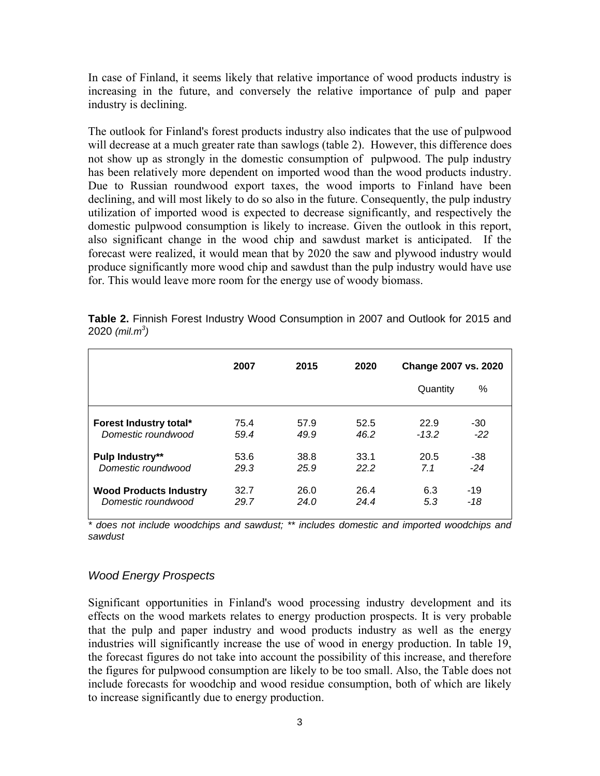In case of Finland, it seems likely that relative importance of wood products industry is increasing in the future, and conversely the relative importance of pulp and paper industry is declining.

The outlook for Finland's forest products industry also indicates that the use of pulpwood will decrease at a much greater rate than sawlogs (table 2). However, this difference does not show up as strongly in the domestic consumption of pulpwood. The pulp industry has been relatively more dependent on imported wood than the wood products industry. Due to Russian roundwood export taxes, the wood imports to Finland have been declining, and will most likely to do so also in the future. Consequently, the pulp industry utilization of imported wood is expected to decrease significantly, and respectively the domestic pulpwood consumption is likely to increase. Given the outlook in this report, also significant change in the wood chip and sawdust market is anticipated. If the forecast were realized, it would mean that by 2020 the saw and plywood industry would produce significantly more wood chip and sawdust than the pulp industry would have use for. This would leave more room for the energy use of woody biomass.

|                                                     | 2007         | 2015         | 2020         | Change 2007 vs. 2020              |
|-----------------------------------------------------|--------------|--------------|--------------|-----------------------------------|
|                                                     |              |              |              | ℅<br>Quantity                     |
| Forest Industry total*<br>Domestic roundwood        | 75.4<br>59.4 | 57.9<br>49.9 | 52.5<br>46.2 | 22.9<br>$-30$<br>$-22$<br>$-13.2$ |
| <b>Pulp Industry**</b><br>Domestic roundwood        | 53.6<br>29.3 | 38.8<br>25.9 | 33.1<br>22.2 | 20.5<br>$-38$<br>$-24$<br>7.1     |
| <b>Wood Products Industry</b><br>Domestic roundwood | 32.7<br>29.7 | 26.0<br>24.0 | 26.4<br>24.4 | 6.3<br>$-19$<br>5.3<br>-18        |

**Table 2.** Finnish Forest Industry Wood Consumption in 2007 and Outlook for 2015 and 2020 *(mil.m3 )*

*\* does not include woodchips and sawdust; \*\* includes domestic and imported woodchips and sawdust* 

#### *Wood Energy Prospects*

Significant opportunities in Finland's wood processing industry development and its effects on the wood markets relates to energy production prospects. It is very probable that the pulp and paper industry and wood products industry as well as the energy industries will significantly increase the use of wood in energy production. In table 19, the forecast figures do not take into account the possibility of this increase, and therefore the figures for pulpwood consumption are likely to be too small. Also, the Table does not include forecasts for woodchip and wood residue consumption, both of which are likely to increase significantly due to energy production.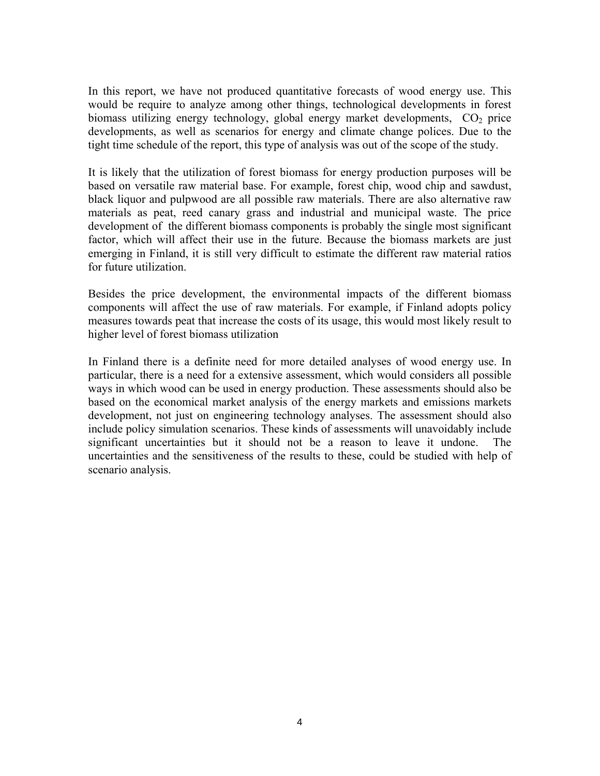In this report, we have not produced quantitative forecasts of wood energy use. This would be require to analyze among other things, technological developments in forest biomass utilizing energy technology, global energy market developments,  $CO<sub>2</sub>$  price developments, as well as scenarios for energy and climate change polices. Due to the tight time schedule of the report, this type of analysis was out of the scope of the study.

It is likely that the utilization of forest biomass for energy production purposes will be based on versatile raw material base. For example, forest chip, wood chip and sawdust, black liquor and pulpwood are all possible raw materials. There are also alternative raw materials as peat, reed canary grass and industrial and municipal waste. The price development of the different biomass components is probably the single most significant factor, which will affect their use in the future. Because the biomass markets are just emerging in Finland, it is still very difficult to estimate the different raw material ratios for future utilization.

Besides the price development, the environmental impacts of the different biomass components will affect the use of raw materials. For example, if Finland adopts policy measures towards peat that increase the costs of its usage, this would most likely result to higher level of forest biomass utilization

In Finland there is a definite need for more detailed analyses of wood energy use. In particular, there is a need for a extensive assessment, which would considers all possible ways in which wood can be used in energy production. These assessments should also be based on the economical market analysis of the energy markets and emissions markets development, not just on engineering technology analyses. The assessment should also include policy simulation scenarios. These kinds of assessments will unavoidably include significant uncertainties but it should not be a reason to leave it undone. The uncertainties and the sensitiveness of the results to these, could be studied with help of scenario analysis.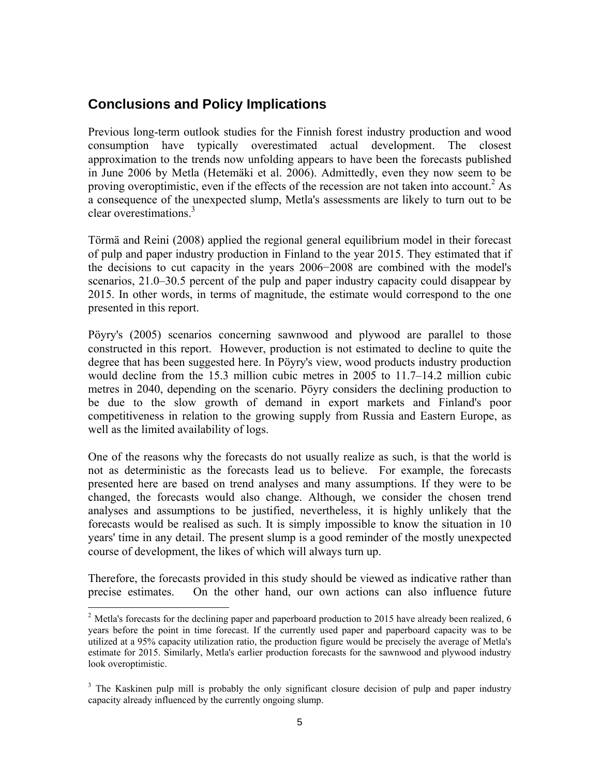# **Conclusions and Policy Implications**

Previous long-term outlook studies for the Finnish forest industry production and wood consumption have typically overestimated actual development. The closest approximation to the trends now unfolding appears to have been the forecasts published in June 2006 by Metla (Hetemäki et al. 2006). Admittedly, even they now seem to be proving overoptimistic, even if the effects of the recession are not taken into account.<sup>2</sup> As a consequence of the unexpected slump, Metla's assessments are likely to turn out to be clear overestimations.3

Törmä and Reini (2008) applied the regional general equilibrium model in their forecast of pulp and paper industry production in Finland to the year 2015. They estimated that if the decisions to cut capacity in the years 2006−2008 are combined with the model's scenarios, 21.0–30.5 percent of the pulp and paper industry capacity could disappear by 2015. In other words, in terms of magnitude, the estimate would correspond to the one presented in this report.

Pöyry's (2005) scenarios concerning sawnwood and plywood are parallel to those constructed in this report. However, production is not estimated to decline to quite the degree that has been suggested here. In Pöyry's view, wood products industry production would decline from the 15.3 million cubic metres in 2005 to 11.7–14.2 million cubic metres in 2040, depending on the scenario. Pöyry considers the declining production to be due to the slow growth of demand in export markets and Finland's poor competitiveness in relation to the growing supply from Russia and Eastern Europe, as well as the limited availability of logs.

One of the reasons why the forecasts do not usually realize as such, is that the world is not as deterministic as the forecasts lead us to believe. For example, the forecasts presented here are based on trend analyses and many assumptions. If they were to be changed, the forecasts would also change. Although, we consider the chosen trend analyses and assumptions to be justified, nevertheless, it is highly unlikely that the forecasts would be realised as such. It is simply impossible to know the situation in 10 years' time in any detail. The present slump is a good reminder of the mostly unexpected course of development, the likes of which will always turn up.

Therefore, the forecasts provided in this study should be viewed as indicative rather than precise estimates. On the other hand, our own actions can also influence future

 $\overline{a}$ 

<sup>&</sup>lt;sup>2</sup> Metla's forecasts for the declining paper and paperboard production to 2015 have already been realized, 6 years before the point in time forecast. If the currently used paper and paperboard capacity was to be utilized at a 95% capacity utilization ratio, the production figure would be precisely the average of Metla's estimate for 2015. Similarly, Metla's earlier production forecasts for the sawnwood and plywood industry look overoptimistic.

<sup>&</sup>lt;sup>3</sup> The Kaskinen pulp mill is probably the only significant closure decision of pulp and paper industry capacity already influenced by the currently ongoing slump.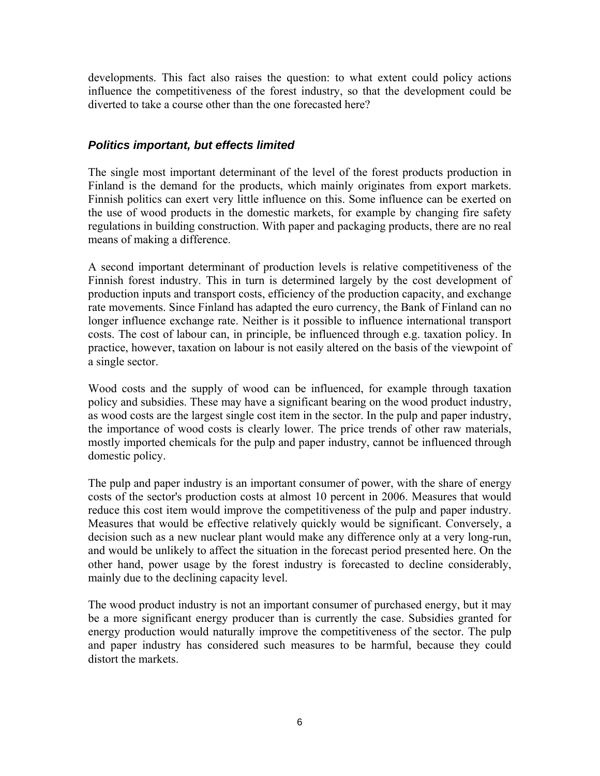developments. This fact also raises the question: to what extent could policy actions influence the competitiveness of the forest industry, so that the development could be diverted to take a course other than the one forecasted here?

#### *Politics important, but effects limited*

The single most important determinant of the level of the forest products production in Finland is the demand for the products, which mainly originates from export markets. Finnish politics can exert very little influence on this. Some influence can be exerted on the use of wood products in the domestic markets, for example by changing fire safety regulations in building construction. With paper and packaging products, there are no real means of making a difference.

A second important determinant of production levels is relative competitiveness of the Finnish forest industry. This in turn is determined largely by the cost development of production inputs and transport costs, efficiency of the production capacity, and exchange rate movements. Since Finland has adapted the euro currency, the Bank of Finland can no longer influence exchange rate. Neither is it possible to influence international transport costs. The cost of labour can, in principle, be influenced through e.g. taxation policy. In practice, however, taxation on labour is not easily altered on the basis of the viewpoint of a single sector.

Wood costs and the supply of wood can be influenced, for example through taxation policy and subsidies. These may have a significant bearing on the wood product industry, as wood costs are the largest single cost item in the sector. In the pulp and paper industry, the importance of wood costs is clearly lower. The price trends of other raw materials, mostly imported chemicals for the pulp and paper industry, cannot be influenced through domestic policy.

The pulp and paper industry is an important consumer of power, with the share of energy costs of the sector's production costs at almost 10 percent in 2006. Measures that would reduce this cost item would improve the competitiveness of the pulp and paper industry. Measures that would be effective relatively quickly would be significant. Conversely, a decision such as a new nuclear plant would make any difference only at a very long-run, and would be unlikely to affect the situation in the forecast period presented here. On the other hand, power usage by the forest industry is forecasted to decline considerably, mainly due to the declining capacity level.

The wood product industry is not an important consumer of purchased energy, but it may be a more significant energy producer than is currently the case. Subsidies granted for energy production would naturally improve the competitiveness of the sector. The pulp and paper industry has considered such measures to be harmful, because they could distort the markets.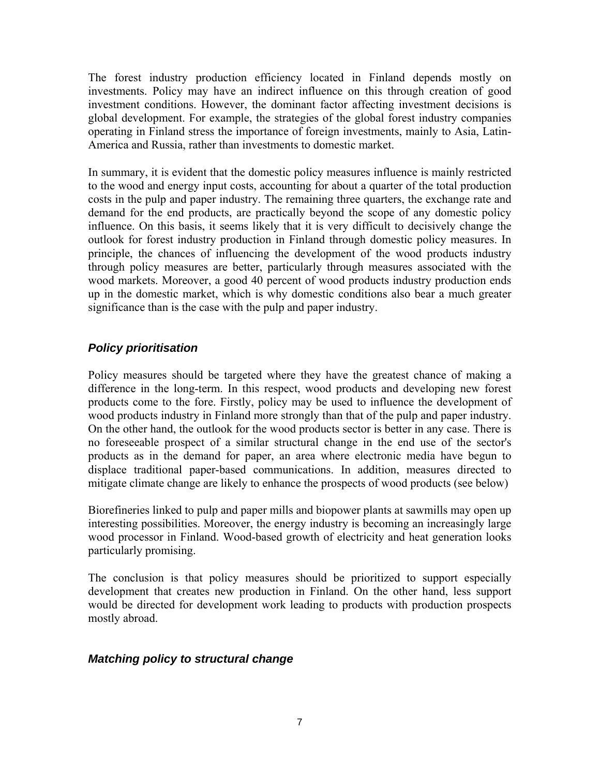The forest industry production efficiency located in Finland depends mostly on investments. Policy may have an indirect influence on this through creation of good investment conditions. However, the dominant factor affecting investment decisions is global development. For example, the strategies of the global forest industry companies operating in Finland stress the importance of foreign investments, mainly to Asia, Latin-America and Russia, rather than investments to domestic market.

In summary, it is evident that the domestic policy measures influence is mainly restricted to the wood and energy input costs, accounting for about a quarter of the total production costs in the pulp and paper industry. The remaining three quarters, the exchange rate and demand for the end products, are practically beyond the scope of any domestic policy influence. On this basis, it seems likely that it is very difficult to decisively change the outlook for forest industry production in Finland through domestic policy measures. In principle, the chances of influencing the development of the wood products industry through policy measures are better, particularly through measures associated with the wood markets. Moreover, a good 40 percent of wood products industry production ends up in the domestic market, which is why domestic conditions also bear a much greater significance than is the case with the pulp and paper industry.

# *Policy prioritisation*

Policy measures should be targeted where they have the greatest chance of making a difference in the long-term. In this respect, wood products and developing new forest products come to the fore. Firstly, policy may be used to influence the development of wood products industry in Finland more strongly than that of the pulp and paper industry. On the other hand, the outlook for the wood products sector is better in any case. There is no foreseeable prospect of a similar structural change in the end use of the sector's products as in the demand for paper, an area where electronic media have begun to displace traditional paper-based communications. In addition, measures directed to mitigate climate change are likely to enhance the prospects of wood products (see below)

Biorefineries linked to pulp and paper mills and biopower plants at sawmills may open up interesting possibilities. Moreover, the energy industry is becoming an increasingly large wood processor in Finland. Wood-based growth of electricity and heat generation looks particularly promising.

The conclusion is that policy measures should be prioritized to support especially development that creates new production in Finland. On the other hand, less support would be directed for development work leading to products with production prospects mostly abroad.

#### *Matching policy to structural change*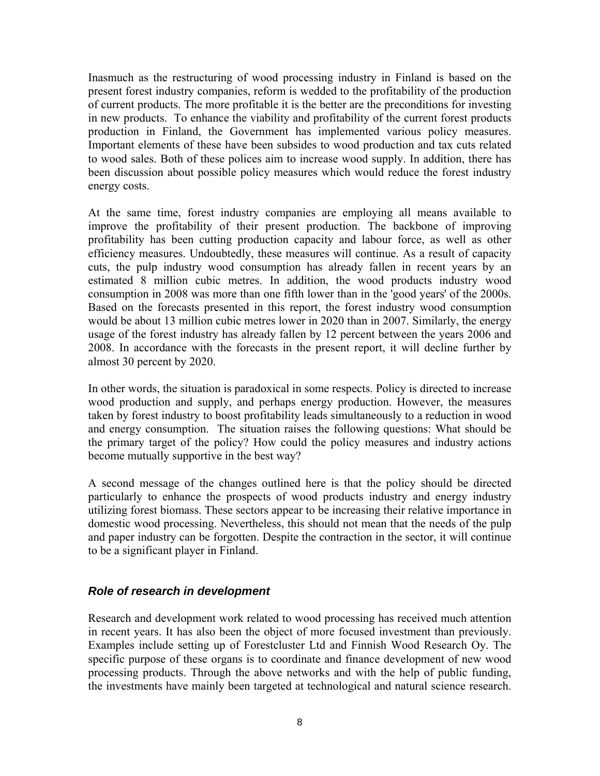Inasmuch as the restructuring of wood processing industry in Finland is based on the present forest industry companies, reform is wedded to the profitability of the production of current products. The more profitable it is the better are the preconditions for investing in new products. To enhance the viability and profitability of the current forest products production in Finland, the Government has implemented various policy measures. Important elements of these have been subsides to wood production and tax cuts related to wood sales. Both of these polices aim to increase wood supply. In addition, there has been discussion about possible policy measures which would reduce the forest industry energy costs.

At the same time, forest industry companies are employing all means available to improve the profitability of their present production. The backbone of improving profitability has been cutting production capacity and labour force, as well as other efficiency measures. Undoubtedly, these measures will continue. As a result of capacity cuts, the pulp industry wood consumption has already fallen in recent years by an estimated 8 million cubic metres. In addition, the wood products industry wood consumption in 2008 was more than one fifth lower than in the 'good years' of the 2000s. Based on the forecasts presented in this report, the forest industry wood consumption would be about 13 million cubic metres lower in 2020 than in 2007. Similarly, the energy usage of the forest industry has already fallen by 12 percent between the years 2006 and 2008. In accordance with the forecasts in the present report, it will decline further by almost 30 percent by 2020.

In other words, the situation is paradoxical in some respects. Policy is directed to increase wood production and supply, and perhaps energy production. However, the measures taken by forest industry to boost profitability leads simultaneously to a reduction in wood and energy consumption. The situation raises the following questions: What should be the primary target of the policy? How could the policy measures and industry actions become mutually supportive in the best way?

A second message of the changes outlined here is that the policy should be directed particularly to enhance the prospects of wood products industry and energy industry utilizing forest biomass. These sectors appear to be increasing their relative importance in domestic wood processing. Nevertheless, this should not mean that the needs of the pulp and paper industry can be forgotten. Despite the contraction in the sector, it will continue to be a significant player in Finland.

#### *Role of research in development*

Research and development work related to wood processing has received much attention in recent years. It has also been the object of more focused investment than previously. Examples include setting up of Forestcluster Ltd and Finnish Wood Research Oy. The specific purpose of these organs is to coordinate and finance development of new wood processing products. Through the above networks and with the help of public funding, the investments have mainly been targeted at technological and natural science research.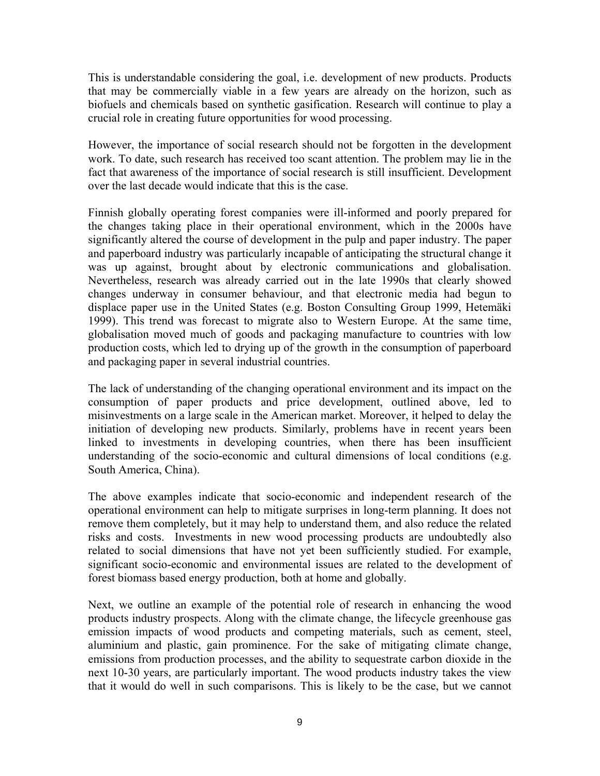This is understandable considering the goal, i.e. development of new products. Products that may be commercially viable in a few years are already on the horizon, such as biofuels and chemicals based on synthetic gasification. Research will continue to play a crucial role in creating future opportunities for wood processing.

However, the importance of social research should not be forgotten in the development work. To date, such research has received too scant attention. The problem may lie in the fact that awareness of the importance of social research is still insufficient. Development over the last decade would indicate that this is the case.

Finnish globally operating forest companies were ill-informed and poorly prepared for the changes taking place in their operational environment, which in the 2000s have significantly altered the course of development in the pulp and paper industry. The paper and paperboard industry was particularly incapable of anticipating the structural change it was up against, brought about by electronic communications and globalisation. Nevertheless, research was already carried out in the late 1990s that clearly showed changes underway in consumer behaviour, and that electronic media had begun to displace paper use in the United States (e.g. Boston Consulting Group 1999, Hetemäki 1999). This trend was forecast to migrate also to Western Europe. At the same time, globalisation moved much of goods and packaging manufacture to countries with low production costs, which led to drying up of the growth in the consumption of paperboard and packaging paper in several industrial countries.

The lack of understanding of the changing operational environment and its impact on the consumption of paper products and price development, outlined above, led to misinvestments on a large scale in the American market. Moreover, it helped to delay the initiation of developing new products. Similarly, problems have in recent years been linked to investments in developing countries, when there has been insufficient understanding of the socio-economic and cultural dimensions of local conditions (e.g. South America, China).

The above examples indicate that socio-economic and independent research of the operational environment can help to mitigate surprises in long-term planning. It does not remove them completely, but it may help to understand them, and also reduce the related risks and costs. Investments in new wood processing products are undoubtedly also related to social dimensions that have not yet been sufficiently studied. For example, significant socio-economic and environmental issues are related to the development of forest biomass based energy production, both at home and globally.

Next, we outline an example of the potential role of research in enhancing the wood products industry prospects. Along with the climate change, the lifecycle greenhouse gas emission impacts of wood products and competing materials, such as cement, steel, aluminium and plastic, gain prominence. For the sake of mitigating climate change, emissions from production processes, and the ability to sequestrate carbon dioxide in the next 10-30 years, are particularly important. The wood products industry takes the view that it would do well in such comparisons. This is likely to be the case, but we cannot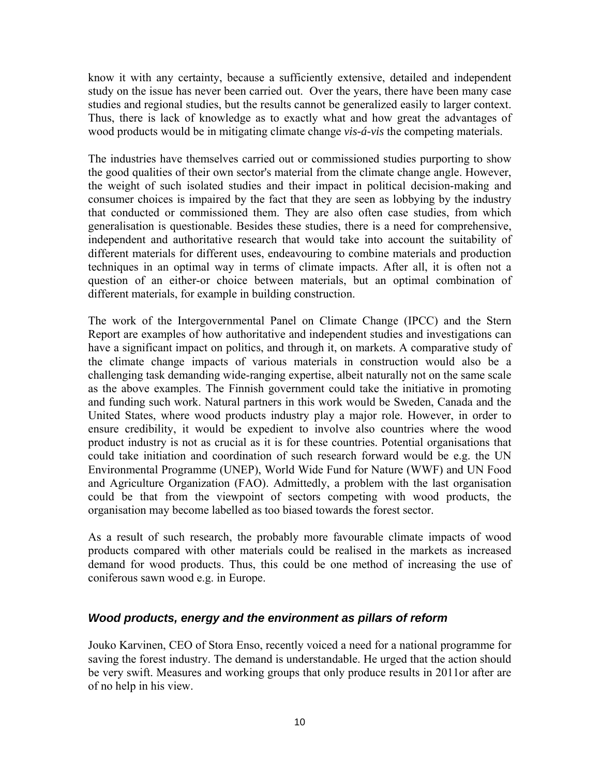know it with any certainty, because a sufficiently extensive, detailed and independent study on the issue has never been carried out. Over the years, there have been many case studies and regional studies, but the results cannot be generalized easily to larger context. Thus, there is lack of knowledge as to exactly what and how great the advantages of wood products would be in mitigating climate change *vis-á-vis* the competing materials.

The industries have themselves carried out or commissioned studies purporting to show the good qualities of their own sector's material from the climate change angle. However, the weight of such isolated studies and their impact in political decision-making and consumer choices is impaired by the fact that they are seen as lobbying by the industry that conducted or commissioned them. They are also often case studies, from which generalisation is questionable. Besides these studies, there is a need for comprehensive, independent and authoritative research that would take into account the suitability of different materials for different uses, endeavouring to combine materials and production techniques in an optimal way in terms of climate impacts. After all, it is often not a question of an either-or choice between materials, but an optimal combination of different materials, for example in building construction.

The work of the Intergovernmental Panel on Climate Change (IPCC) and the Stern Report are examples of how authoritative and independent studies and investigations can have a significant impact on politics, and through it, on markets. A comparative study of the climate change impacts of various materials in construction would also be a challenging task demanding wide-ranging expertise, albeit naturally not on the same scale as the above examples. The Finnish government could take the initiative in promoting and funding such work. Natural partners in this work would be Sweden, Canada and the United States, where wood products industry play a major role. However, in order to ensure credibility, it would be expedient to involve also countries where the wood product industry is not as crucial as it is for these countries. Potential organisations that could take initiation and coordination of such research forward would be e.g. the UN Environmental Programme (UNEP), World Wide Fund for Nature (WWF) and UN Food and Agriculture Organization (FAO). Admittedly, a problem with the last organisation could be that from the viewpoint of sectors competing with wood products, the organisation may become labelled as too biased towards the forest sector.

As a result of such research, the probably more favourable climate impacts of wood products compared with other materials could be realised in the markets as increased demand for wood products. Thus, this could be one method of increasing the use of coniferous sawn wood e.g. in Europe.

#### *Wood products, energy and the environment as pillars of reform*

Jouko Karvinen, CEO of Stora Enso, recently voiced a need for a national programme for saving the forest industry. The demand is understandable. He urged that the action should be very swift. Measures and working groups that only produce results in 2011or after are of no help in his view.